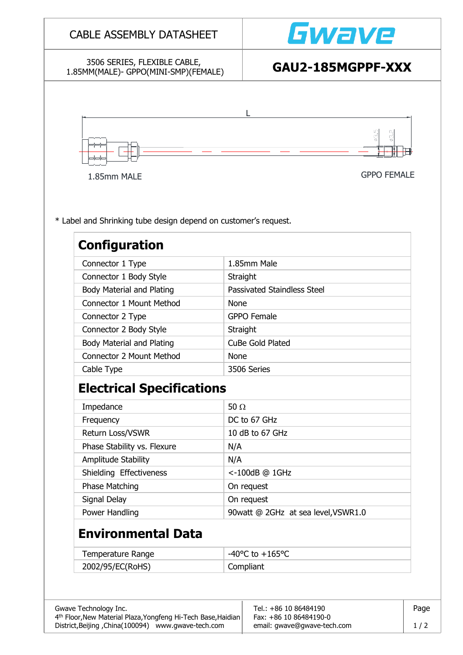# Gwave CABLE ASSEMBLY DATASHEET 3506 SERIES, FLEXIBLE CABLE, 1.85MM(MALE)- GPPO(MINI-SMP)(FEMALE) **GAU2-185MGPPF-XXX** L 1.85mm MALE GPPO FEMALE\* Label and Shrinking tube design depend on customer's request. **Configuration** Connector 1 Type 1.85mm Male Connector 1 Body Style Straight Body Material and Plating Passivated Staindless Steel Connector 1 Mount Method None Connector 2 Type GPPO Female Connector 2 Body Style Straight Body Material and Plating **CuBe Gold Plated** Connector 2 Mount Method None Cable Type 2506 Series **Electrical Specifications** Impedance  $50 \Omega$ Frequency DC to 67 GHz Return Loss/VSWR 10 dB to 67 GHz Phase Stability vs. Flexure  $N/A$ Amplitude Stability N/A Shielding Effectiveness <-100dB @ 1GHz Phase Matching and On request Signal Delay **On request** Power Handling 190 and 190 and 190 and 190 and 190 and 190 and 190 and 190 and 190 and 190 and 190 and 190 and 1 **Environmental Data** Temperature Range  $\vert -40^{\circ}C \text{ to } +165^{\circ}C \vert$ 2002/95/EC(RoHS) Compliant Gwave Technology Inc. The Contract of the Contract of the Tel.: +86 10 86484190 4<sup>th</sup> Floor,New Material Plaza,Yongfeng Hi-Tech Base,Haidian | Fax: +86 10 86484190-0 District,Beijing ,China(100094) www.gwave-tech.com email: gwave@gwave-tech.com | 1/2